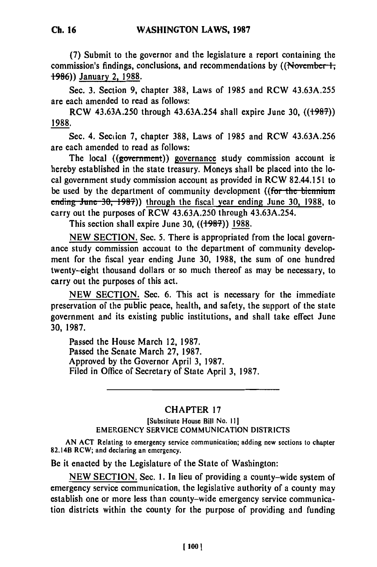**(7)** Submit to the governor and the legislature a report containing the commission's findings, conclusions, and recommendations by ((November 1, **-986))** January 2, **1988.**

Sec. **3.** Section **9,** chapter **388,** Laws of **1985** and RCW **43.63A.255** are each amended to read as follows:

RCW **43.63A.250** through 43.63A.254 shall expire June **30, ((i98-)) 1988.**

Sec. 4. Section **7,** chapter **388,** Laws of **1985** and RCW **43.63A.256** are each amended to read as follows:

The local ((government)) governance study commission account is hereby established in the state treasury. Moneys shall be placed into the local government study commission account as provided in RCW 82.44.151 to be used by the department of community development ((for the biennium ending June 30, 1987)) through the fiscal year ending June 30, 1988, to carry out the purposes of RCW 43.63A.250 through 43.63A.254.

This section shall expire June **30, ((+98-)) 1988.**

**NEW** SECTION. Sec. **5.** There is appropriated from the local governance study commission account to the department of community development for the fiscal year ending June **30, 1988,** the sum of one hundred twenty-eight thousand dollars or so much thereof as may be necessary, to carry out the purposes of this act.

**NEW SECTION.** Sec. **6.** This act is necessary for the immediate preservation of the public peace, health, and safety, the support of the state government and its existing public institutions, and shall take effect June **30, 1987.**

Passed the House March 12, **1987.** Passed the Senate March **27, 1987.** Approved **by** the Governor April **3, 1987.** Filed in Office of Secretary of State April **3, 1987.**

## CHAPTER **17**

## [Substitute House Bill No. **Il]** EMERGENCY **SERVICE COMMUNICATION DISTRICTS**

**AN ACT** Relating to emergency service communication; adding new sections to chapter 82.14B RCW; and declaring an emergency.

Be it enacted **by** the Legislature of the State of Washington:

**NEW SECTION.** Sec. **1.** In lieu of providing a county-wide system of emergency service communication, the legislative authority of a county may establish one or more less than county-wide emergency service communication districts within the county for the purpose of providing and funding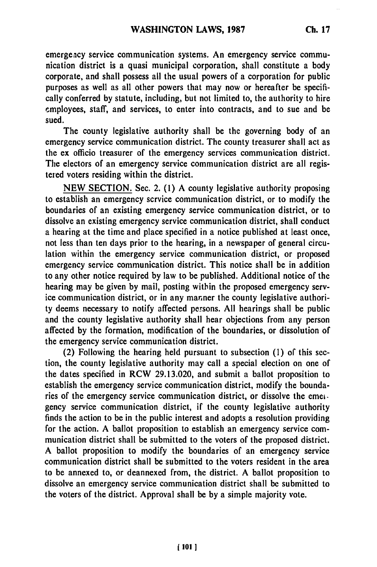emergeacy service communication systems. An emergency service communication district is a quasi municipal corporation, shall constitute a body corporate, and shall possess all the usual powers of a corporation for public purposes as well as all other powers that may now or hereafter be specifically conferred **by** statute, including, but not limited to, the authority to hire employees, staff, and services, to enter into contracts, and to sue and be sued.

The county legislative authority shall be the governing body of an emergency service communication district. The county treasurer shall act as the **ex** officio treasurer of the emergency services communication district. The electors of an emergency service communication district are all registered voters residing within the district.

**NEW SECTION.** Sec. 2. **(1)** A county legislative authority proposing to establish an emergency scrvice communication district, or to modify the boundaries of an existing emergency service communication district, or to dissolve an existing emergency service communication district, shall conduct a hearing at the time and place specified in a notice published at least once, not less than ten days prior to the hearing, in a newspaper of general circulation within the emergency service communication district, or proposed emergency service communication district. This notice shall be in addition to any other notice required **by** law to be published. Additional notice of the hearing may be given **by** mail, posting within the proposed emergency service communication district, or in any manner the county legislative authority deems necessary to notify affected persons. **All** hearings shall be public and the county legislative authority shall hear objections from any person affected **by** the formation, modification of the boundaries, or dissolution of the emergency service communication district.

(2) Following the hearing held pursuant to subsection **(1)** of this section, the county legislative authority may call a special election on one of the dates specified in RCW **29.13.020,** and submit a ballot proposition to establish the emergency service communication district, modify the boundaries of the emergency service communication district, or dissolve the emeigency service communication district, if the county legislative authority finds the action to be in the public interest and adopts a resolution providing for the action. A ballot proposition to establish an emergency service communication district shall be submitted to the voters of the proposed district. A ballot proposition to modify the boundaries of an emergency service communication district shall be submitted to the voters resident in the area to be annexed to, or deannexed from, the district. A ballot proposition to dissolve an emergency service communication district shall be submitted to the voters of the district. Approval shall be **by** a simple majority vote.